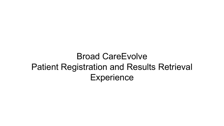## Broad CareEvolve Patient Registration and Results Retrieval **Experience**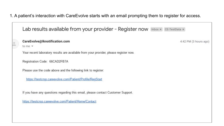1. A patient's interaction with CareEvolve starts with an email prompting them to register for access.

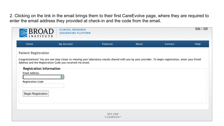2. Clicking on the link in the email brings them to their first CareEvolve page, where they are required to enter the email address they provided at check-in and the code from the email.

|                                                                                                                                   | <b>CLINICAL RESEARCH</b><br><b>SEQUENCING PLATFORM</b>                                                                                                                                                                   |                                               |       |         | ENG   ESP |
|-----------------------------------------------------------------------------------------------------------------------------------|--------------------------------------------------------------------------------------------------------------------------------------------------------------------------------------------------------------------------|-----------------------------------------------|-------|---------|-----------|
| Home                                                                                                                              | My Account                                                                                                                                                                                                               | Features                                      | About | Contact | Help      |
| <b>Patient Registration</b><br>Registration Information<br><b>Email Address</b><br><b>Registration Code</b><br>Begin Registration | Congratulations! You are one step closer to viewing your laboratory results shared with you by your provider. To begin registration, enter your Email<br>Address and the Registration Code you received via email.<br>Ŗ. |                                               |       |         |           |
|                                                                                                                                   |                                                                                                                                                                                                                          | <b>TEST CRSP</b><br>© CareEvolve <sup>™</sup> |       |         |           |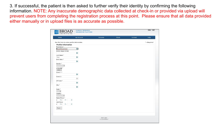3. If successful, the patient is then asked to further verify their identity by confirming the following information. NOTE: Any inaccurate demographic data collected at check-in or provided via upload will prevent users from completing the registration process at this point. Please ensure that all data provided either manually or in upload files is as accurate as possible.

| Home                                        | My Account       | <b>Features</b> | About | Contact | Help         |
|---------------------------------------------|------------------|-----------------|-------|---------|--------------|
| Use this form to enter profile information. |                  |                 |       |         | * = Required |
| <b>Profile Information</b>                  |                  |                 |       |         |              |
| First Name*                                 |                  |                 |       |         |              |
| <b>BrandNewOrder</b>                        | B.               |                 |       |         |              |
| Middle Name/Initial                         |                  |                 |       |         |              |
|                                             | B.               |                 |       |         |              |
| Last Name *                                 |                  |                 |       |         |              |
| Test                                        | B.               |                 |       |         |              |
| Birth Date *                                |                  |                 |       |         |              |
|                                             | B.               |                 |       |         |              |
| Gender *                                    |                  |                 |       |         |              |
| $\check{~}$                                 |                  |                 |       |         |              |
| Language *                                  |                  |                 |       |         |              |
| $ENG \vee$                                  |                  |                 |       |         |              |
| Street 1 *                                  |                  |                 |       |         |              |
|                                             | B.               |                 |       |         |              |
| Street 2                                    |                  |                 |       |         |              |
|                                             | $\mathbb{I}^*_i$ |                 |       |         |              |
| ZIP Code *                                  |                  |                 |       |         |              |
|                                             | B.               |                 |       |         |              |
| City *                                      |                  |                 |       |         |              |
|                                             | B.               |                 |       |         |              |
| State *                                     |                  |                 |       |         |              |
| $\checkmark$                                |                  |                 |       |         |              |
| Country                                     |                  |                 |       |         |              |
| $\checkmark$                                |                  |                 |       |         |              |
| Home Phone *                                |                  |                 |       |         |              |
| B.<br>$D$ )<br>$n -$<br>$\left($            |                  |                 |       |         |              |
| Cell Phone                                  |                  |                 |       |         |              |
| $D$ )<br>$\mathfrak{b}$ .<br>B.             |                  |                 |       |         |              |
| Next >                                      |                  |                 |       |         |              |
|                                             |                  |                 |       |         |              |
|                                             |                  |                 |       |         |              |
|                                             |                  |                 |       |         |              |
|                                             |                  |                 |       |         |              |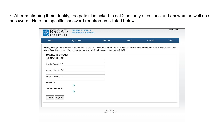4. After confirming their identity, the patient is asked to set 2 security questions and answers as well as a password. Note the specific password requirements listed below.

| Home                                                  | My Account                                                                                                                                                                                                                                                 | Features         | About | Contact | Help |
|-------------------------------------------------------|------------------------------------------------------------------------------------------------------------------------------------------------------------------------------------------------------------------------------------------------------------|------------------|-------|---------|------|
| <b>Security Information</b><br>Security Question #1 * | Below, enter your own security questions and answers. You must fill in all form fields without duplicates. Your password must be at least 8 characters<br>and include 1 uppercase letter, 1 lowercase letter, 1 digit and 1 special character (@\$!%*#?&^) |                  |       |         |      |
| Security Answer #1 *                                  |                                                                                                                                                                                                                                                            |                  |       |         |      |
| Security Question #2 *                                |                                                                                                                                                                                                                                                            |                  |       |         |      |
| Security Answer #2 *                                  |                                                                                                                                                                                                                                                            |                  |       |         |      |
| Password *                                            | Ŗ.                                                                                                                                                                                                                                                         |                  |       |         |      |
| Confirm Password *                                    | B.                                                                                                                                                                                                                                                         |                  |       |         |      |
| Register<br>$<$ Back $  $                             |                                                                                                                                                                                                                                                            |                  |       |         |      |
|                                                       |                                                                                                                                                                                                                                                            | <b>TEST CRSP</b> |       |         |      |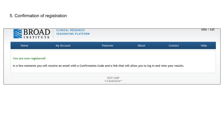## 5. Confirmation of registration

|  |  | In a few moments you will receive an email with a Confirmation Code and a link that will allow you to log in and view your results. |
|--|--|-------------------------------------------------------------------------------------------------------------------------------------|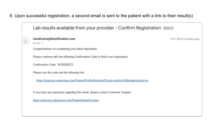## 6. Upon successful registration, a second email is sent to the patient with a link to their result(s)

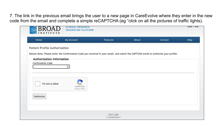7. The link in the previous email brings the user to a new page in CareEvolve where they enter in the new code from the email and complete a simple reCAPTCHA (eg "click on all the pictures of traffic lights).

| Home                                 | My Account                                                                                                                         | Features | About | Contact | Help |
|--------------------------------------|------------------------------------------------------------------------------------------------------------------------------------|----------|-------|---------|------|
| <b>Patient Profile Authorization</b> |                                                                                                                                    |          |       |         |      |
|                                      | Almost done. Please enter the Confirmation Code you received in your email, and match the CAPTCHA words to authorize your profile. |          |       |         |      |
| <b>Authorization Information</b>     |                                                                                                                                    |          |       |         |      |
| <b>Confirmation Code</b>             |                                                                                                                                    |          |       |         |      |
|                                      |                                                                                                                                    |          |       |         |      |
|                                      |                                                                                                                                    |          |       |         |      |
| I'm not a robot                      | reCAPTCHA                                                                                                                          |          |       |         |      |
|                                      | Privacy - Terms                                                                                                                    |          |       |         |      |
| Authorize                            |                                                                                                                                    |          |       |         |      |
|                                      |                                                                                                                                    |          |       |         |      |
|                                      |                                                                                                                                    |          |       |         |      |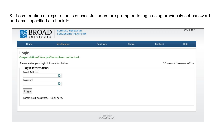8. If confirmation of registration is successful, users are prompted to login using previously set password and email specified at check-in.

| Home                                       | My Account                                         | Features | About | Contact | Help                         |
|--------------------------------------------|----------------------------------------------------|----------|-------|---------|------------------------------|
| Login                                      |                                                    |          |       |         |                              |
|                                            | Congratulations! Your profile has been authorized. |          |       |         |                              |
| Please enter your login information below. |                                                    |          |       |         | * Password is case-sensitive |
| Login Information                          |                                                    |          |       |         |                              |
| <b>Email Address</b>                       |                                                    |          |       |         |                              |
|                                            | Ŗ.                                                 |          |       |         |                              |
| Password                                   | N                                                  |          |       |         |                              |
|                                            |                                                    |          |       |         |                              |
| Login                                      |                                                    |          |       |         |                              |
| Forgot your password? Click here.          |                                                    |          |       |         |                              |
|                                            |                                                    |          |       |         |                              |
|                                            |                                                    |          |       |         |                              |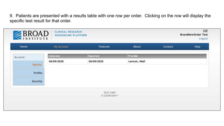9. Patients are presented with a results table with one row per order. Clicking on the row will display the specific test result for that order.

| <b>BROAD</b>   | CLINICAL RESEARCH<br><b>SEQUENCING PLATFORM</b> |                         |               |         | <b>ESP</b><br><b>BrandNewOrder Test</b><br>Logout |
|----------------|-------------------------------------------------|-------------------------|---------------|---------|---------------------------------------------------|
|                | My Account                                      | Features                | About         | Contact | Help                                              |
|                |                                                 | Reported                | Provider      |         |                                                   |
| <b>Results</b> |                                                 | 06/09/2020              | Lennon, Niall |         |                                                   |
| Profile        |                                                 |                         |               |         |                                                   |
| Security       |                                                 |                         |               |         |                                                   |
|                |                                                 | Collected<br>06/09/2020 |               |         |                                                   |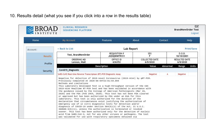10. Results detail (what you see if you click into a row in the results table)

|                | <b>CLINICAL RESEARCH</b><br><b>SEQUENCING PLATFORM</b>                                                                                                                                                                                                                                                                                                                                                                                                                                                                                                                                                                                                                                                                                                                                                                                                                                                                                                                                                                                             |                                        |                                   |              | ESP<br><b>BrandNewOrder Test</b><br>Logout |
|----------------|----------------------------------------------------------------------------------------------------------------------------------------------------------------------------------------------------------------------------------------------------------------------------------------------------------------------------------------------------------------------------------------------------------------------------------------------------------------------------------------------------------------------------------------------------------------------------------------------------------------------------------------------------------------------------------------------------------------------------------------------------------------------------------------------------------------------------------------------------------------------------------------------------------------------------------------------------------------------------------------------------------------------------------------------------|----------------------------------------|-----------------------------------|--------------|--------------------------------------------|
| Home           | My Account                                                                                                                                                                                                                                                                                                                                                                                                                                                                                                                                                                                                                                                                                                                                                                                                                                                                                                                                                                                                                                         | <b>Features</b>                        | About                             | Contact      | <b>Help</b>                                |
| Account:       | < Back to List                                                                                                                                                                                                                                                                                                                                                                                                                                                                                                                                                                                                                                                                                                                                                                                                                                                                                                                                                                                                                                     |                                        | Lab Report                        |              | Print/Save                                 |
| <b>Results</b> | Test, BrandNewOrder                                                                                                                                                                                                                                                                                                                                                                                                                                                                                                                                                                                                                                                                                                                                                                                                                                                                                                                                                                                                                                | <b>REQUISITION #</b><br>JXZIQ9IWITR1l1 | <b>SEX</b>                        |              | D.O.B.<br>10/10/2001                       |
| Profile        | ORDERING MD<br>Lennon, Niall                                                                                                                                                                                                                                                                                                                                                                                                                                                                                                                                                                                                                                                                                                                                                                                                                                                                                                                                                                                                                       | OFFICE ID<br>636352                    | <b>COLLECTED DATE</b><br>6/9/2020 |              | <b>RESULTED DATE</b><br>6/9/2020           |
|                |                                                                                                                                                                                                                                                                                                                                                                                                                                                                                                                                                                                                                                                                                                                                                                                                                                                                                                                                                                                                                                                    | <b>Description</b>                     | Value                             | Abnormal     | <b>Units</b><br>Range                      |
| Security       | Covid19 Diagnostic                                                                                                                                                                                                                                                                                                                                                                                                                                                                                                                                                                                                                                                                                                                                                                                                                                                                                                                                                                                                                                 |                                        |                                   |              |                                            |
|                | SARS-CoV2 Real-time Reverse Transcriptase (RT)-PCR Diagnostic Assay                                                                                                                                                                                                                                                                                                                                                                                                                                                                                                                                                                                                                                                                                                                                                                                                                                                                                                                                                                                |                                        | Negative                          | $\mathsf{A}$ | Negative                                   |
|                | Negative for detection of 2019-novel Coronavirus (2019-nCoV) by qRT-PCR.<br>Previously Completed At 2020-06-04T22:01:54.094<br>Methods and Limitations<br>This Laboratory Developed Test is a high-throughput version of the CDC<br>2019-nCoV Realtime RT-PCR test and has been validated in accordance with<br>the quidance issued by the College of American Pathologists (Mar 19,<br>2020) and the FDA (Feb 29th, 2020). This test has not been FDA cleared<br>or approved but has been authorized by FDA under an EUA for this<br>laboratory. This test is only authorized for the duration of the<br>declaration that circumstances exist justifying the authorization of<br>emergency use of in vitro diagnostic tests for detection and/or<br>diagnosis of COVID-19 under Section 564(b)(1) of the Act, 21 U.S.C.<br>360bbb-3(b)(1), unless the authorization is terminated or revoked<br>sooner. This test has been authorized only for the detection of nucleic<br>acid from SARS-CoV-2, not for any other viruses or pathogens. The test |                                        |                                   |              |                                            |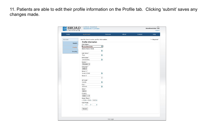11. Patients are able to edit their profile information on the Profile tab. Clicking 'submit' saves any changes made.

| Home           | My Account                                  | Features                               | About | Contact | Help         |
|----------------|---------------------------------------------|----------------------------------------|-------|---------|--------------|
|                |                                             |                                        |       |         |              |
| Account:       | Use this form to enter profile information. |                                        |       |         | * = Required |
| <b>Results</b> | <b>Profile Information</b>                  |                                        |       |         |              |
|                | First Name*                                 |                                        |       |         |              |
| Profile        | BrandNewOrder                               | P.                                     |       |         |              |
|                | Middle Name/Initial                         |                                        |       |         |              |
| Security       |                                             | B.                                     |       |         |              |
|                | Last Name*                                  |                                        |       |         |              |
|                | Test                                        | B.                                     |       |         |              |
|                | Birth Date *<br>10/10/2001                  | B.                                     |       |         |              |
|                | Gender*                                     |                                        |       |         |              |
|                | Female v                                    |                                        |       |         |              |
|                | Language *                                  |                                        |       |         |              |
|                | $ENG \vee$                                  |                                        |       |         |              |
|                | Street 1 *                                  |                                        |       |         |              |
|                | testdr12345                                 | B)                                     |       |         |              |
|                | Street 2                                    |                                        |       |         |              |
|                |                                             | $\mathbb{I}^{\mathbb{I}}_{\mathbb{I}}$ |       |         |              |
|                | ZIP Code *                                  |                                        |       |         |              |
|                | 01005                                       | B.                                     |       |         |              |
|                | City *                                      |                                        |       |         |              |
|                | <b>BARRE</b>                                | B.                                     |       |         |              |
|                | State *                                     |                                        |       |         |              |
|                | $MA \vee$                                   |                                        |       |         |              |
|                | Country                                     |                                        |       |         |              |
|                | <b>USA</b><br>$\checkmark$                  |                                        |       |         |              |
|                | Home Phone *                                |                                        |       |         |              |
|                | (636) 354 - 5423 b                          |                                        |       |         |              |
|                | Cell Phone                                  |                                        |       |         |              |
|                | B.<br>$\mathbb{D}$ )<br>$\mathbb{D}$ .<br>€ |                                        |       |         |              |
|                | Submit                                      |                                        |       |         |              |
|                |                                             |                                        |       |         |              |
|                |                                             |                                        |       |         |              |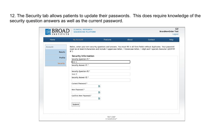12. The Security tab allows patients to update their passwords. This does require knowledge of the security question answers as well as the current password.

| Home           | My Account                       | <b>Features</b>                                                                                                                                                                                                                                         | About | Contact | Help |
|----------------|----------------------------------|---------------------------------------------------------------------------------------------------------------------------------------------------------------------------------------------------------------------------------------------------------|-------|---------|------|
| Account:       |                                  | Below, enter your own security questions and answers. You must fill in all form fields without duplicates. Your password<br>must be at least 8 characters and include 1 uppercase letter, 1 lowercase letter, 1 digit and 1 special character (@\$!%*#? |       |         |      |
| <b>Results</b> | f(x)                             |                                                                                                                                                                                                                                                         |       |         |      |
| Profile        | <b>Security Information</b>      |                                                                                                                                                                                                                                                         |       |         |      |
|                | Security Question #1 *<br>test 1 |                                                                                                                                                                                                                                                         |       |         |      |
| Security       | Security Answer #1 *             |                                                                                                                                                                                                                                                         |       |         |      |
|                |                                  |                                                                                                                                                                                                                                                         |       |         |      |
|                | Security Question #2 *           |                                                                                                                                                                                                                                                         |       |         |      |
|                | test 2                           |                                                                                                                                                                                                                                                         |       |         |      |
|                | Security Answer #2 *             |                                                                                                                                                                                                                                                         |       |         |      |
|                |                                  |                                                                                                                                                                                                                                                         |       |         |      |
|                | Current Password *               |                                                                                                                                                                                                                                                         |       |         |      |
|                |                                  | R)                                                                                                                                                                                                                                                      |       |         |      |
|                | New Password *                   |                                                                                                                                                                                                                                                         |       |         |      |
|                |                                  | B.                                                                                                                                                                                                                                                      |       |         |      |
|                | Confirm New Password *           | B.                                                                                                                                                                                                                                                      |       |         |      |
|                |                                  |                                                                                                                                                                                                                                                         |       |         |      |
|                | Submit                           |                                                                                                                                                                                                                                                         |       |         |      |
|                |                                  |                                                                                                                                                                                                                                                         |       |         |      |